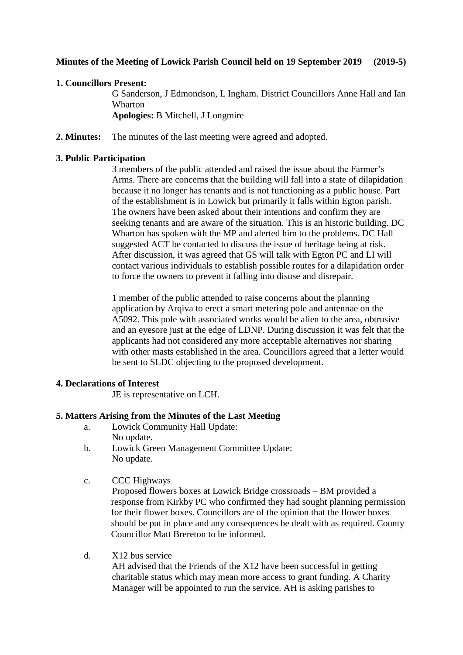## **Minutes of the Meeting of Lowick Parish Council held on 19 September 2019 (2019-5)**

## **1. Councillors Present:**

G Sanderson, J Edmondson, L Ingham. District Councillors Anne Hall and Ian Wharton **Apologies:** B Mitchell, J Longmire

**2. Minutes:** The minutes of the last meeting were agreed and adopted.

## **3. Public Participation**

3 members of the public attended and raised the issue about the Farmer's Arms. There are concerns that the building will fall into a state of dilapidation because it no longer has tenants and is not functioning as a public house. Part of the establishment is in Lowick but primarily it falls within Egton parish. The owners have been asked about their intentions and confirm they are seeking tenants and are aware of the situation. This is an historic building. DC Wharton has spoken with the MP and alerted him to the problems. DC Hall suggested ACT be contacted to discuss the issue of heritage being at risk. After discussion, it was agreed that GS will talk with Egton PC and LI will contact various individuals to establish possible routes for a dilapidation order to force the owners to prevent it falling into disuse and disrepair.

1 member of the public attended to raise concerns about the planning application by Arqiva to erect a smart metering pole and antennae on the A5092. This pole with associated works would be alien to the area, obtrusive and an eyesore just at the edge of LDNP. During discussion it was felt that the applicants had not considered any more acceptable alternatives nor sharing with other masts established in the area. Councillors agreed that a letter would be sent to SLDC objecting to the proposed development.

## **4. Declarations of Interest**

JE is representative on LCH.

## **5. Matters Arising from the Minutes of the Last Meeting**

- a. Lowick Community Hall Update: No update.
- b. Lowick Green Management Committee Update: No update.
- c. CCC Highways

Proposed flowers boxes at Lowick Bridge crossroads – BM provided a response from Kirkby PC who confirmed they had sought planning permission for their flower boxes. Councillors are of the opinion that the flower boxes should be put in place and any consequences be dealt with as required. County Councillor Matt Brereton to be informed.

d. X12 bus service

AH advised that the Friends of the X12 have been successful in getting charitable status which may mean more access to grant funding. A Charity Manager will be appointed to run the service. AH is asking parishes to